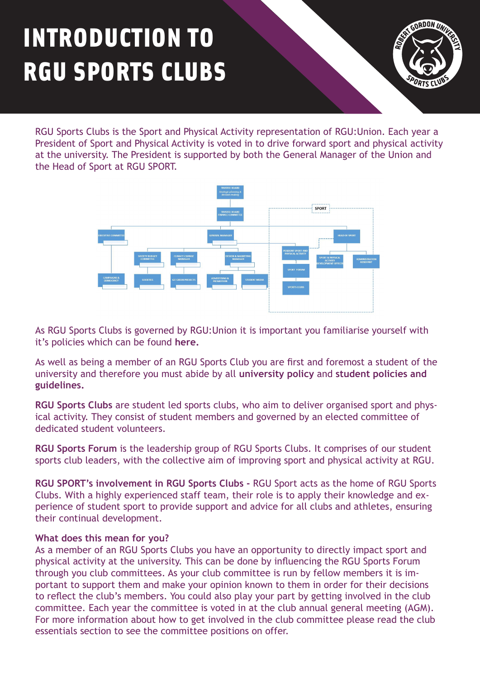## INTRODUCTION TO RGU SPORTS CLUBS



RGU Sports Clubs is the Sport and Physical Activity representation of RGU:Union. Each year a President of Sport and Physical Activity is voted in to drive forward sport and physical activity at the university. The President is supported by both the General Manager of the Union and the Head of Sport at RGU SPORT.



As RGU Sports Clubs is governed by RGU:Union it is important you familiarise yourself with it's policies which can be found **[here.](https://www.rguunion.co.uk/about/constitution/)**

As well as being a member of an RGU Sports Club you are first and foremost a student of the [university and therefore you must abide by all](https://www.rgu.ac.uk/about/governance/academic-governance) **[university policy](https://www.rgu.ac.uk/about/university-policies)** and **student policies and guidelines.** 

**RGU Sports Clubs** are student led sports clubs, who aim to deliver organised sport and physical activity. They consist of student members and governed by an elected committee of dedicated student volunteers.

**RGU Sports Forum** is the leadership group of RGU Sports Clubs. It comprises of our student sports club leaders, with the collective aim of improving sport and physical activity at RGU.

**RGU SPORT's involvement in RGU Sports Clubs -** RGU Sport acts as the home of RGU Sports Clubs. With a highly experienced staff team, their role is to apply their knowledge and experience of student sport to provide support and advice for all clubs and athletes, ensuring their continual development.

## **What does this mean for you?**

As a member of an RGU Sports Clubs you have an opportunity to directly impact sport and physical activity at the university. This can be done by influencing the RGU Sports Forum through you club committees. As your club committee is run by fellow members it is important to support them and make your opinion known to them in order for their decisions to reflect the club's members. You could also play your part by getting involved in the club committee. Each year the committee is voted in at the club annual general meeting (AGM). For more information about how to get involved in the club committee please read the club essentials section to see the committee positions on offer.